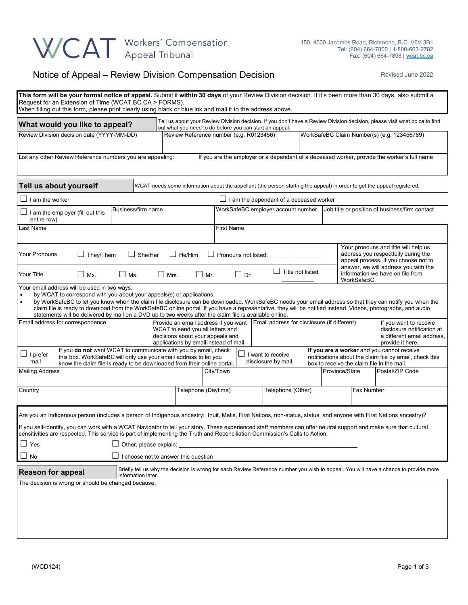

## Notice of Appeal – Review Division Compensation Decision **Revised June 2022** Revised June 2022

| This form will be your formal notice of appeal. Submit it within 30 days of your Review Division decision. If it's been more than 30 days, also submit a<br>Request for an Extension of Time (WCAT.BC.CA > FORMS).<br>When filling out this form, please print clearly using black or blue ink and mail it to the address above.                                                                                                                                                                                                                                                                                                                                                                                                                                                                                                                                    |                           |               |                                                                                                                                                                                       |                                                                                                                         |                |                                                                                                                     |                                                                                             |  |  |
|---------------------------------------------------------------------------------------------------------------------------------------------------------------------------------------------------------------------------------------------------------------------------------------------------------------------------------------------------------------------------------------------------------------------------------------------------------------------------------------------------------------------------------------------------------------------------------------------------------------------------------------------------------------------------------------------------------------------------------------------------------------------------------------------------------------------------------------------------------------------|---------------------------|---------------|---------------------------------------------------------------------------------------------------------------------------------------------------------------------------------------|-------------------------------------------------------------------------------------------------------------------------|----------------|---------------------------------------------------------------------------------------------------------------------|---------------------------------------------------------------------------------------------|--|--|
| What would you like to appeal?                                                                                                                                                                                                                                                                                                                                                                                                                                                                                                                                                                                                                                                                                                                                                                                                                                      |                           |               | Tell us about your Review Division decision. If you don't have a Review Division decision, please visit wcat.bc.ca to find<br>out what you need to do before you can start an appeal. |                                                                                                                         |                |                                                                                                                     |                                                                                             |  |  |
| Review Division decision date (YYYY-MM-DD)                                                                                                                                                                                                                                                                                                                                                                                                                                                                                                                                                                                                                                                                                                                                                                                                                          |                           |               | Review Reference number (e.g. R0123456)                                                                                                                                               |                                                                                                                         |                |                                                                                                                     | WorkSafeBC Claim Number(s) (e.g. 123456789)                                                 |  |  |
| List any other Review Reference numbers you are appealing:                                                                                                                                                                                                                                                                                                                                                                                                                                                                                                                                                                                                                                                                                                                                                                                                          |                           |               |                                                                                                                                                                                       |                                                                                                                         |                |                                                                                                                     | If you are the employer or a dependant of a deceased worker, provide the worker's full name |  |  |
| Tell us about yourself                                                                                                                                                                                                                                                                                                                                                                                                                                                                                                                                                                                                                                                                                                                                                                                                                                              |                           |               |                                                                                                                                                                                       | WCAT needs some information about the appellant (the person starting the appeal) in order to get the appeal registered. |                |                                                                                                                     |                                                                                             |  |  |
| $\Box$ I am the worker                                                                                                                                                                                                                                                                                                                                                                                                                                                                                                                                                                                                                                                                                                                                                                                                                                              |                           |               | $\Box$ I am the dependant of a deceased worker                                                                                                                                        |                                                                                                                         |                |                                                                                                                     |                                                                                             |  |  |
| $\Box$ I am the employer (fill out this<br>entire row)                                                                                                                                                                                                                                                                                                                                                                                                                                                                                                                                                                                                                                                                                                                                                                                                              | Business/firm name        |               | WorkSafeBC employer account number                                                                                                                                                    |                                                                                                                         |                | Job title or position of business/firm contact                                                                      |                                                                                             |  |  |
| Last Name                                                                                                                                                                                                                                                                                                                                                                                                                                                                                                                                                                                                                                                                                                                                                                                                                                                           |                           |               | <b>First Name</b>                                                                                                                                                                     |                                                                                                                         |                |                                                                                                                     |                                                                                             |  |  |
| Your Pronouns<br>$\Box$ They/Them                                                                                                                                                                                                                                                                                                                                                                                                                                                                                                                                                                                                                                                                                                                                                                                                                                   | $\Box$ She/Her            | $\Box$ He/Him |                                                                                                                                                                                       | Pronouns not listed:                                                                                                    |                | Your pronouns and title will help us<br>address you respectfully during the<br>appeal process. If you choose not to |                                                                                             |  |  |
| $\Box$ Mx.<br>Your Title                                                                                                                                                                                                                                                                                                                                                                                                                                                                                                                                                                                                                                                                                                                                                                                                                                            | $\Box$ Ms.<br>$\Box$ Mrs. | $\Box$ Mr.    | $\Box$ Dr.                                                                                                                                                                            | $\Box$ Title not listed:                                                                                                |                | answer, we will address you with the<br>information we have on file from<br>WorkSafeBC.                             |                                                                                             |  |  |
| Your email address will be used in two ways:<br>by WCAT to correspond with you about your appeals(s) or applications.<br>by WorkSafeBC to let you know when the claim file disclosure can be downloaded. WorkSafeBC needs your email address so that they can notify you when the<br>$\bullet$<br>claim file is ready to download from the WorkSafeBC online portal. If you have a representative, they will be notified instead. Videos, photographs, and audio<br>statements will be delivered by mail on a DVD up to two weeks after the claim file is available online.<br>Email address for correspondence<br>Provide an email address if you want   Email address for disclosure (if different)<br>If you want to receive<br>WCAT to send you all letters and<br>disclosure notification at<br>decisions about your appeals and<br>a different email address, |                           |               |                                                                                                                                                                                       |                                                                                                                         |                |                                                                                                                     |                                                                                             |  |  |
| applications by email instead of mail.<br>provide it here.<br>If you do not want WCAT to communicate with you by email, check<br>If you are a worker and you cannot receive<br>$\Box$ I prefer<br>I want to receive<br>this box. WorkSafeBC will only use your email address to let you<br>notifications about the claim file by email, check this<br>mail<br>disclosure by mail<br>know the claim file is ready to be downloaded from their online portal.<br>box to receive the claim file in the mail.                                                                                                                                                                                                                                                                                                                                                           |                           |               |                                                                                                                                                                                       |                                                                                                                         |                |                                                                                                                     |                                                                                             |  |  |
| <b>Mailing Address</b>                                                                                                                                                                                                                                                                                                                                                                                                                                                                                                                                                                                                                                                                                                                                                                                                                                              |                           | City/Town     |                                                                                                                                                                                       |                                                                                                                         | Province/State | Postal/ZIP Code                                                                                                     |                                                                                             |  |  |
| Country                                                                                                                                                                                                                                                                                                                                                                                                                                                                                                                                                                                                                                                                                                                                                                                                                                                             | Telephone (Daytime)       |               | Telephone (Other)                                                                                                                                                                     |                                                                                                                         |                | Fax Number                                                                                                          |                                                                                             |  |  |
| Are you an Indigenous person (includes a person of Indigenous ancestry: Inuit, Metis, First Nations, non-status, status, and anyone with First Nations ancestry)?<br>If you self-identify, you can work with a WCAT Navigator to tell your story. These experienced staff members can offer neutral support and make sure that cultural<br>sensitivities are respected. This service is part of implementing the Truth and Reconciliation Commission's Calls to Action.<br>$\Box$ Yes<br>$\Box$ Other, please explain:<br>$\Box$ No<br>I choose not to answer this question                                                                                                                                                                                                                                                                                         |                           |               |                                                                                                                                                                                       |                                                                                                                         |                |                                                                                                                     |                                                                                             |  |  |
| Briefly tell us why the decision is wrong for each Review Reference number you wish to appeal. You will have a chance to provide more<br><b>Reason for appeal</b>                                                                                                                                                                                                                                                                                                                                                                                                                                                                                                                                                                                                                                                                                                   |                           |               |                                                                                                                                                                                       |                                                                                                                         |                |                                                                                                                     |                                                                                             |  |  |
| The decision is wrong or should be changed because:                                                                                                                                                                                                                                                                                                                                                                                                                                                                                                                                                                                                                                                                                                                                                                                                                 | information later.        |               |                                                                                                                                                                                       |                                                                                                                         |                |                                                                                                                     |                                                                                             |  |  |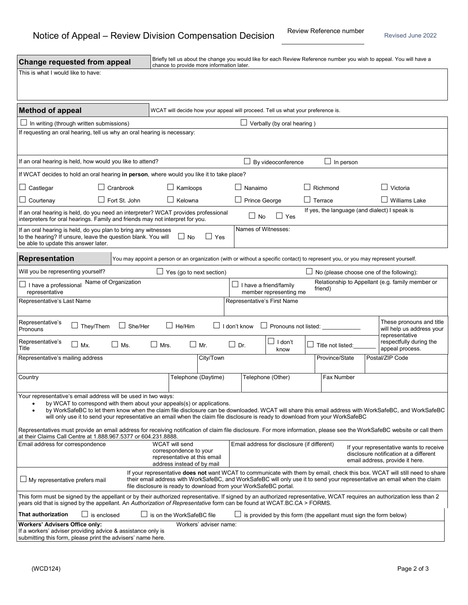| <b>Change requested from appeal</b>                                                                                                                                                                                                                                                                                                                                                                                                                                                                                                                                                                                      |                                                                                                                                                                     | Briefly tell us about the change you would like for each Review Reference number you wish to appeal. You will have a<br>chance to provide more information later. |                                                                                                                      |                     |                                                                         |  |                                               |  |                                                  |  |
|--------------------------------------------------------------------------------------------------------------------------------------------------------------------------------------------------------------------------------------------------------------------------------------------------------------------------------------------------------------------------------------------------------------------------------------------------------------------------------------------------------------------------------------------------------------------------------------------------------------------------|---------------------------------------------------------------------------------------------------------------------------------------------------------------------|-------------------------------------------------------------------------------------------------------------------------------------------------------------------|----------------------------------------------------------------------------------------------------------------------|---------------------|-------------------------------------------------------------------------|--|-----------------------------------------------|--|--------------------------------------------------|--|
| This is what I would like to have:                                                                                                                                                                                                                                                                                                                                                                                                                                                                                                                                                                                       |                                                                                                                                                                     |                                                                                                                                                                   |                                                                                                                      |                     |                                                                         |  |                                               |  |                                                  |  |
|                                                                                                                                                                                                                                                                                                                                                                                                                                                                                                                                                                                                                          |                                                                                                                                                                     |                                                                                                                                                                   |                                                                                                                      |                     |                                                                         |  |                                               |  |                                                  |  |
| <b>Method of appeal</b>                                                                                                                                                                                                                                                                                                                                                                                                                                                                                                                                                                                                  |                                                                                                                                                                     | WCAT will decide how your appeal will proceed. Tell us what your preference is.                                                                                   |                                                                                                                      |                     |                                                                         |  |                                               |  |                                                  |  |
| $\Box$ In writing (through written submissions)                                                                                                                                                                                                                                                                                                                                                                                                                                                                                                                                                                          |                                                                                                                                                                     |                                                                                                                                                                   |                                                                                                                      |                     | $\Box$ Verbally (by oral hearing)                                       |  |                                               |  |                                                  |  |
|                                                                                                                                                                                                                                                                                                                                                                                                                                                                                                                                                                                                                          | If requesting an oral hearing, tell us why an oral hearing is necessary:                                                                                            |                                                                                                                                                                   |                                                                                                                      |                     |                                                                         |  |                                               |  |                                                  |  |
|                                                                                                                                                                                                                                                                                                                                                                                                                                                                                                                                                                                                                          | If an oral hearing is held, how would you like to attend?                                                                                                           |                                                                                                                                                                   |                                                                                                                      |                     | $\perp$ By videoconference                                              |  | $\Box$ In person                              |  |                                                  |  |
|                                                                                                                                                                                                                                                                                                                                                                                                                                                                                                                                                                                                                          | If WCAT decides to hold an oral hearing in person, where would you like it to take place?                                                                           |                                                                                                                                                                   |                                                                                                                      |                     |                                                                         |  |                                               |  |                                                  |  |
| $\Box$ Castlegar                                                                                                                                                                                                                                                                                                                                                                                                                                                                                                                                                                                                         | Cranbrook                                                                                                                                                           | $\Box$ Kamloops                                                                                                                                                   |                                                                                                                      | $\Box$ Nanaimo      |                                                                         |  | Richmond                                      |  | Victoria                                         |  |
| $\Box$ Courtenay                                                                                                                                                                                                                                                                                                                                                                                                                                                                                                                                                                                                         | $\Box$ Fort St. John                                                                                                                                                | $\Box$ Kelowna                                                                                                                                                    |                                                                                                                      |                     | Prince George                                                           |  | $\Box$ Terrace                                |  | <b>Williams Lake</b>                             |  |
|                                                                                                                                                                                                                                                                                                                                                                                                                                                                                                                                                                                                                          | If an oral hearing is held, do you need an interpreter? WCAT provides professional<br>interpreters for oral hearings. Family and friends may not interpret for you. |                                                                                                                                                                   |                                                                                                                      | $\Box$ No           | $\Box$ Yes                                                              |  | If yes, the language (and dialect) I speak is |  |                                                  |  |
| be able to update this answer later.                                                                                                                                                                                                                                                                                                                                                                                                                                                                                                                                                                                     | If an oral hearing is held, do you plan to bring any witnesses<br>to the hearing? If unsure, leave the question blank. You will                                     | $\Box$ No                                                                                                                                                         | $\perp$<br>Yes                                                                                                       |                     | Names of Witnesses:                                                     |  |                                               |  |                                                  |  |
| Representation                                                                                                                                                                                                                                                                                                                                                                                                                                                                                                                                                                                                           |                                                                                                                                                                     | You may appoint a person or an organization (with or without a specific contact) to represent you, or you may represent yourself.                                 |                                                                                                                      |                     |                                                                         |  |                                               |  |                                                  |  |
| Will you be representing yourself?                                                                                                                                                                                                                                                                                                                                                                                                                                                                                                                                                                                       |                                                                                                                                                                     | $\Box$ Yes (go to next section)                                                                                                                                   |                                                                                                                      |                     |                                                                         |  | No (please choose one of the following):      |  |                                                  |  |
| $\Box$ I have a professional<br>representative                                                                                                                                                                                                                                                                                                                                                                                                                                                                                                                                                                           | Name of Organization                                                                                                                                                |                                                                                                                                                                   |                                                                                                                      |                     | $\Box$ I have a friend/family<br>member representing me                 |  | friend)                                       |  | Relationship to Appellant (e.g. family member or |  |
| Representative's Last Name                                                                                                                                                                                                                                                                                                                                                                                                                                                                                                                                                                                               |                                                                                                                                                                     |                                                                                                                                                                   |                                                                                                                      |                     | Representative's First Name                                             |  |                                               |  |                                                  |  |
| Representative's<br>Pronouns                                                                                                                                                                                                                                                                                                                                                                                                                                                                                                                                                                                             | $\Box$ They/Them<br>$\Box$ She/Her                                                                                                                                  | $\Box$ I don't know<br>$\Box$ He/Him<br>$\Box$ Pronouns not listed:                                                                                               |                                                                                                                      |                     | These pronouns and title<br>will help us address your<br>representative |  |                                               |  |                                                  |  |
| Representative's<br>Title                                                                                                                                                                                                                                                                                                                                                                                                                                                                                                                                                                                                | $\Box$ Mx.<br>ΓJ Ms.                                                                                                                                                | $\Box$ Mrs.                                                                                                                                                       | Mr.                                                                                                                  | $\mathsf{L}$<br>Dr. | $\Box$<br>I don't<br>know                                               |  | Title not listed:                             |  | respectfully during the<br>appeal process.       |  |
| Representative's mailing address                                                                                                                                                                                                                                                                                                                                                                                                                                                                                                                                                                                         |                                                                                                                                                                     |                                                                                                                                                                   | City/Town                                                                                                            |                     |                                                                         |  | Province/State                                |  | Postal/ZIP Code                                  |  |
| Country                                                                                                                                                                                                                                                                                                                                                                                                                                                                                                                                                                                                                  |                                                                                                                                                                     |                                                                                                                                                                   | Telephone (Daytime)                                                                                                  |                     | Telephone (Other)                                                       |  | Fax Number                                    |  |                                                  |  |
| Your representative's email address will be used in two ways:<br>by WCAT to correspond with them about your appeals(s) or applications.<br>$\bullet$<br>by WorkSafeBC to let them know when the claim file disclosure can be downloaded. WCAT will share this email address with WorkSafeBC, and WorkSafeBC<br>will only use it to send your representative an email when the claim file disclosure is ready to download from your WorkSafeBC<br>Representatives must provide an email address for receiving notification of claim file disclosure. For more information, please see the WorkSafeBC website or call them |                                                                                                                                                                     |                                                                                                                                                                   |                                                                                                                      |                     |                                                                         |  |                                               |  |                                                  |  |
| at their Claims Call Centre at 1.888.967.5377 or 604.231.8888.<br>WCAT will send<br>Email address for correspondence<br>Email address for disclosure (if different)                                                                                                                                                                                                                                                                                                                                                                                                                                                      |                                                                                                                                                                     |                                                                                                                                                                   |                                                                                                                      |                     |                                                                         |  |                                               |  |                                                  |  |
| correspondence to your<br>representative at this email<br>address instead of by mail                                                                                                                                                                                                                                                                                                                                                                                                                                                                                                                                     |                                                                                                                                                                     |                                                                                                                                                                   | If your representative wants to receive<br>disclosure notification at a different<br>email address, provide it here. |                     |                                                                         |  |                                               |  |                                                  |  |
| If your representative <b>does not</b> want WCAT to communicate with them by email, check this box. WCAT will still need to share<br>their email address with WorkSafeBC, and WorkSafeBC will only use it to send your representative an email when the claim<br>$\Box$ My representative prefers mail<br>file disclosure is ready to download from your WorkSafeBC portal.                                                                                                                                                                                                                                              |                                                                                                                                                                     |                                                                                                                                                                   |                                                                                                                      |                     |                                                                         |  |                                               |  |                                                  |  |
| This form must be signed by the appellant or by their authorized representative. If signed by an authorized representative, WCAT requires an authorization less than 2<br>years old that is signed by the appellant. An Authorization of Representative form can be found at WCAT.BC.CA > FORMS.                                                                                                                                                                                                                                                                                                                         |                                                                                                                                                                     |                                                                                                                                                                   |                                                                                                                      |                     |                                                                         |  |                                               |  |                                                  |  |
| <b>That authorization</b>                                                                                                                                                                                                                                                                                                                                                                                                                                                                                                                                                                                                | is enclosed                                                                                                                                                         | $\Box$ is on the WorkSafeBC file<br>is provided by this form (the appellant must sign the form below)                                                             |                                                                                                                      |                     |                                                                         |  |                                               |  |                                                  |  |
| <b>Workers' Advisers Office only:</b><br>Workers' adviser name:<br>If a workers' adviser providing advice & assistance only is<br>submitting this form, please print the advisers' name here.                                                                                                                                                                                                                                                                                                                                                                                                                            |                                                                                                                                                                     |                                                                                                                                                                   |                                                                                                                      |                     |                                                                         |  |                                               |  |                                                  |  |